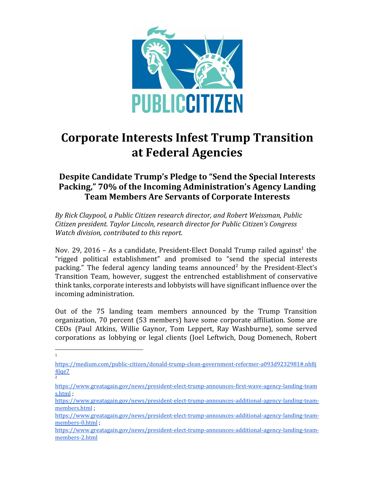

# **Corporate Interests Infest Trump Transition at Federal Agencies**

# **Despite Candidate Trump's Pledge to "Send the Special Interests Packing," 70% of the Incoming Administration's Agency Landing Team Members Are Servants of Corporate Interests**

*By Rick Claypool, a Public Citizen research director, and Robert Weissman, Public Citizen president. Taylor Lincoln, research director for Public Citizen's Congress Watch division, contributed to this report.*

Nov. 29, 2016 – As a candidate, President-Elect Donald Trump railed against<sup>1</sup> the "rigged political establishment" and promised to "send the special interests packing." The federal agency landing teams announced<sup>2</sup> by the President-Elect's Transition Team, however, suggest the entrenched establishment of conservative think tanks, corporate interests and lobbyists will have significant influence over the incoming administration.

Out of the 75 landing team members announced by the Trump Transition organization, 70 percent (53 members) have some corporate affiliation. Some are CEOs (Paul Atkins, Willie Gaynor, Tom Leppert, Ray Washburne), some served corporations as lobbying or legal clients (Joel Leftwich, Doug Domenech, Robert

<sup>1</sup>

[https://medium.com/public-citizen/donald-trump-clean-government-reformer-a093d9232981#.nh8j](https://medium.com/public-citizen/donald-trump-clean-government-reformer-a093d9232981#.nh8j4lqe7) [4lqe7](https://medium.com/public-citizen/donald-trump-clean-government-reformer-a093d9232981#.nh8j4lqe7) 2

[https://www.greatagain.gov/news/president-elect-trump-announces-first-wave-agency-landing-team](https://www.greatagain.gov/news/president-elect-trump-announces-first-wave-agency-landing-teams.html) [s.html](https://www.greatagain.gov/news/president-elect-trump-announces-first-wave-agency-landing-teams.html) ;

[https://www.greatagain.gov/news/president-elect-trump-announces-additional-agency-landing-team](https://www.greatagain.gov/news/president-elect-trump-announces-additional-agency-landing-team-members.html)[members.html](https://www.greatagain.gov/news/president-elect-trump-announces-additional-agency-landing-team-members.html) ;

[https://www.greatagain.gov/news/president-elect-trump-announces-additional-agency-landing-team](https://www.greatagain.gov/news/president-elect-trump-announces-additional-agency-landing-team-members-0.html)[members-0.html](https://www.greatagain.gov/news/president-elect-trump-announces-additional-agency-landing-team-members-0.html) ;

[https://www.greatagain.gov/news/president-elect-trump-announces-additional-agency-landing-team](https://www.greatagain.gov/news/president-elect-trump-announces-additional-agency-landing-team-members-2.html)[members-2.html](https://www.greatagain.gov/news/president-elect-trump-announces-additional-agency-landing-team-members-2.html)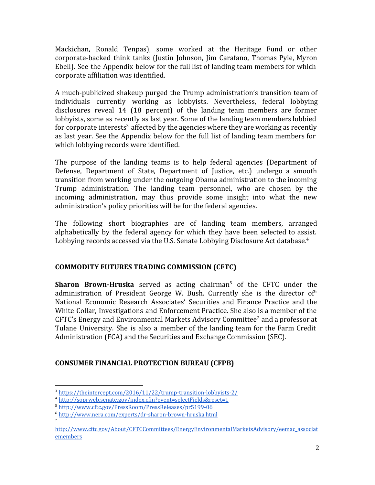Mackichan, Ronald Tenpas), some worked at the Heritage Fund or other corporate-backed think tanks (Justin Johnson, Jim Carafano, Thomas Pyle, Myron Ebell). See the Appendix below for the full list of landing team members for which corporate affiliation was identified.

A much-publicized shakeup purged the Trump administration's transition team of individuals currently working as lobbyists. Nevertheless, federal lobbying disclosures reveal 14 (18 percent) of the landing team members are former lobbyists, some as recently as last year. Some of the landing team members lobbied for corporate interests<sup>3</sup> affected by the agencies where they are working as recently as last year. See the Appendix below for the full list of landing team members for which lobbying records were identified.

The purpose of the landing teams is to help federal agencies (Department of Defense, Department of State, Department of Justice, etc.) undergo a smooth transition from working under the outgoing Obama administration to the incoming Trump administration. The landing team personnel, who are chosen by the incoming administration, may thus provide some insight into what the new administration's policy priorities will be for the federal agencies.

The following short biographies are of landing team members, arranged alphabetically by the federal agency for which they have been selected to assist. Lobbying records accessed via the U.S. Senate Lobbying Disclosure Act database.<sup>4</sup>

#### **COMMODITY FUTURES TRADING COMMISSION (CFTC)**

**Sharon Brown-Hruska** served as acting chairman<sup>5</sup> of the CFTC under the administration of President George W. Bush. Currently she is the director of  $6<sup>6</sup>$ National Economic Research Associates' Securities and Finance Practice and the White Collar, Investigations and Enforcement Practice. She also is a member of the CFTC's Energy and Environmental Markets Advisory Committee<sup>7</sup> and a professor at Tulane University. She is also a member of the landing team for the Farm Credit Administration (FCA) and the Securities and Exchange Commission (SEC).

#### **CONSUMER FINANCIAL PROTECTION BUREAU (CFPB)**

<sup>3</sup> <https://theintercept.com/2016/11/22/trump-transition-lobbyists-2/>

<sup>4</sup> <http://soprweb.senate.gov/index.cfm?event=selectFields&reset=1>

<sup>5</sup> <http://www.cftc.gov/PressRoom/PressReleases/pr5199-06>

<sup>6</sup> <http://www.nera.com/experts/dr-sharon-brown-hruska.html>

[http://www.cftc.gov/About/CFTCCommittees/EnergyEnvironmentalMarketsAdvisory/eemac\\_associat](http://www.cftc.gov/About/CFTCCommittees/EnergyEnvironmentalMarketsAdvisory/eemac_associatemembers) [emembers](http://www.cftc.gov/About/CFTCCommittees/EnergyEnvironmentalMarketsAdvisory/eemac_associatemembers)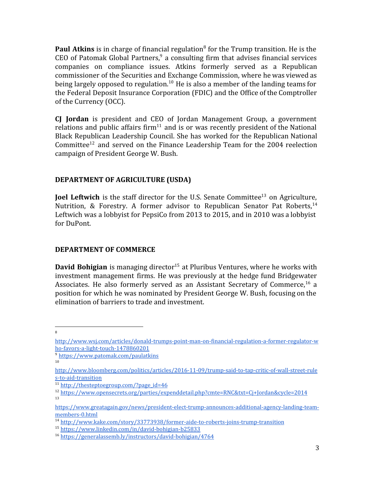**Paul Atkins** is in charge of financial regulation<sup>8</sup> for the Trump transition. He is the CEO of Patomak Global Partners,  $9$  a consulting firm that advises financial services companies on compliance issues. Atkins formerly served as a Republican commissioner of the Securities and Exchange Commission, where he was viewed as being largely opposed to regulation.<sup>10</sup> He is also a member of the landing teams for the Federal Deposit Insurance Corporation (FDIC) and the Office of the Comptroller of the Currency (OCC).

**CJ Jordan** is president and CEO of Jordan Management Group, a government relations and public affairs firm<sup>11</sup> and is or was recently president of the National Black Republican Leadership Council. She has worked for the Republican National Committee<sup>12</sup> and served on the Finance Leadership Team for the 2004 reelection campaign of President George W. Bush.

## **DEPARTMENT OF AGRICULTURE (USDA)**

**Joel Leftwich** is the staff director for the U.S. Senate Committee<sup>13</sup> on Agriculture, Nutrition, & Forestry. A former advisor to Republican Senator Pat Roberts,  $14$ Leftwich was a lobbyist for PepsiCo from 2013 to 2015, and in 2010 was a lobbyist for DuPont.

#### **DEPARTMENT OF COMMERCE**

**David Bohigian** is managing director<sup>15</sup> at Pluribus Ventures, where he works with investment management firms. He was previously at the hedge fund Bridgewater Associates. He also formerly served as an Assistant Secretary of Commerce, $^{16}$  a position for which he was nominated by President George W. Bush, focusing on the elimination of barriers to trade and investment.

[http://www.wsj.com/articles/donald-trumps-point-man-on-financial-regulation-a-former-regulator-w](http://www.wsj.com/articles/donald-trumps-point-man-on-financial-regulation-a-former-regulator-who-favors-a-light-touch-1478860201) [ho-favors-a-light-touch-1478860201](http://www.wsj.com/articles/donald-trumps-point-man-on-financial-regulation-a-former-regulator-who-favors-a-light-touch-1478860201)

<sup>9</sup> <https://www.patomak.com/paulatkins>

<sup>10</sup>

[http://www.bloomberg.com/politics/articles/2016-11-09/trump-said-to-tap-critic-of-wall-street-rule](http://www.bloomberg.com/politics/articles/2016-11-09/trump-said-to-tap-critic-of-wall-street-rules-to-aid-transition) [s-to-aid-transition](http://www.bloomberg.com/politics/articles/2016-11-09/trump-said-to-tap-critic-of-wall-street-rules-to-aid-transition)

 $11$  [http://thesteptoegroup.com/?page\\_id=46](http://thesteptoegroup.com/?page_id=46)

<sup>12</sup> <https://www.opensecrets.org/parties/expenddetail.php?cmte=RNC&txt=Cj+Jordan&cycle=2014> 13

[https://www.greatagain.gov/news/president-elect-trump-announces-additional-agency-landing-team](https://www.greatagain.gov/news/president-elect-trump-announces-additional-agency-landing-team-members-0.html)[members-0.html](https://www.greatagain.gov/news/president-elect-trump-announces-additional-agency-landing-team-members-0.html)

<sup>14</sup> <http://www.kake.com/story/33773938/former-aide-to-roberts-joins-trump-transition>

<sup>15</sup> <https://www.linkedin.com/in/david-bohigian-b25833>

<sup>16</sup> <https://generalassemb.ly/instructors/david-bohigian/4764>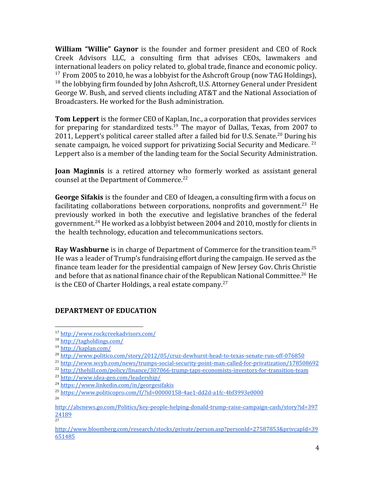**William "Willie" Gaynor** is the founder and former president and CEO of Rock Creek Advisors LLC, a consulting firm that advises CEOs, lawmakers and international leaders on policy related to, global trade, finance and economic policy. <sup>17</sup> From 2005 to 2010, he was a lobbyist for the Ashcroft Group (now TAG Holdings),  $18$  the lobbying firm founded by John Ashcroft, U.S. Attorney General under President George W. Bush, and served clients including AT&T and the National Association of Broadcasters. He worked for the Bush administration.

**Tom Leppert** is the former CEO of Kaplan, Inc., a corporation that provides services for preparing for standardized tests.<sup>19</sup> The mayor of Dallas, Texas, from 2007 to 2011, Leppert's political career stalled after a failed bid for U.S. Senate.<sup>20</sup> During his senate campaign, he voiced support for privatizing Social Security and Medicare.  $21$ Leppert also is a member of the landing team for the Social Security Administration.

**Joan Maginnis** is a retired attorney who formerly worked as assistant general counsel at the Department of Commerce.<sup>22</sup>

**George Sifakis** is the founder and CEO of Ideagen, a consulting firm with a focus on facilitating collaborations between corporations, nonprofits and government.<sup>23</sup> He previously worked in both the executive and legislative branches of the federal government.<sup>24</sup> He worked as a lobbyist between 2004 and 2010, mostly for clients in the health technology, education and telecommunications sectors.

**Ray Washburne** is in charge of Department of Commerce for the transition team.<sup>25</sup> He was a leader of Trump's fundraising effort during the campaign. He served as the finance team leader for the presidential campaign of New Jersey Gov. Chris Christie and before that as national finance chair of the Republican National Committee.<sup>26</sup> He is the CEO of Charter Holdings, a real estate company.<sup>27</sup>

#### **DEPARTMENT OF EDUCATION**

<sup>25</sup> <https://www.politicopro.com/f/?id=00000158-4ae1-dd2d-a1fc-4bf3993e0000>

<sup>17</sup> <http://www.rockcreekadvisors.com/>

<sup>18</sup> <http://tagholdings.com/>

<sup>19</sup> <http://kaplan.com/>

<sup>20</sup> <http://www.politico.com/story/2012/05/cruz-dewhurst-head-to-texas-senate-run-off-076850>

<sup>&</sup>lt;sup>21</sup> <http://www.wcyb.com/news/trumps-social-security-point-man-called-for-privatization/178508692>

<sup>&</sup>lt;sup>22</sup> <http://thehill.com/policy/finance/307066-trump-taps-economists-investors-for-transition-team>

<sup>23</sup> <http://www.idea-gen.com/leadership/>

<sup>24</sup> <https://www.linkedin.com/in/georgesifakis>

[http://abcnews.go.com/Politics/key-people-helping-donald-trump-raise-campaign-cash/story?id=397](http://abcnews.go.com/Politics/key-people-helping-donald-trump-raise-campaign-cash/story?id=39724189) [24189](http://abcnews.go.com/Politics/key-people-helping-donald-trump-raise-campaign-cash/story?id=39724189)<br><sup>27</sup>

[http://www.bloomberg.com/research/stocks/private/person.asp?personId=27587853&privcapId=39](http://www.bloomberg.com/research/stocks/private/person.asp?personId=27587853&privcapId=39651485) [651485](http://www.bloomberg.com/research/stocks/private/person.asp?personId=27587853&privcapId=39651485)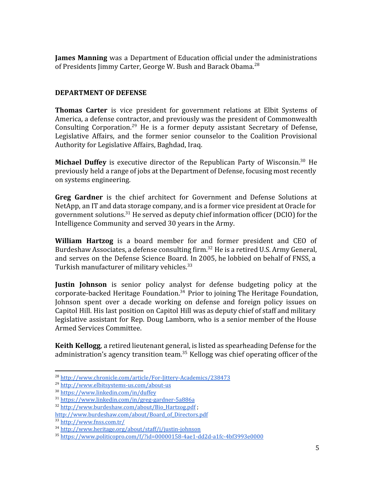**James Manning** was a Department of Education official under the administrations of Presidents Jimmy Carter, George W. Bush and Barack Obama.<sup>28</sup>

#### **DEPARTMENT OF DEFENSE**

**Thomas Carter** is vice president for government relations at Elbit Systems of America, a defense contractor, and previously was the president of Commonwealth Consulting Corporation.<sup>29</sup> He is a former deputy assistant Secretary of Defense, Legislative Affairs, and the former senior counselor to the Coalition Provisional Authority for Legislative Affairs, Baghdad, Iraq.

**Michael Duffey** is executive director of the Republican Party of Wisconsin.<sup>30</sup> He previously held a range of jobs at the Department of Defense, focusing most recently on systems engineering.

**Greg Gardner** is the chief architect for Government and Defense Solutions at NetApp, an IT and data storage company, and is a former vice president at Oracle for government solutions.<sup>31</sup> He served as deputy chief information officer (DCIO) for the Intelligence Community and served 30 years in the Army.

**William Hartzog** is a board member for and former president and CEO of Burdeshaw Associates, a defense consulting firm.<sup>32</sup> He is a retired U.S. Army General, and serves on the Defense Science Board. In 2005, he lobbied on behalf of FNSS, a Turkish manufacturer of military vehicles.<sup>33</sup>

**Justin Johnson** is senior policy analyst for defense budgeting policy at the corporate-backed Heritage Foundation.<sup>34</sup> Prior to joining The Heritage Foundation, Johnson spent over a decade working on defense and foreign policy issues on Capitol Hill. His last position on Capitol Hill was as deputy chief of staff and military legislative assistant for Rep. Doug Lamborn, who is a senior member of the House Armed Services Committee.

**Keith Kellogg**, a retired lieutenant general, is listed as spearheading Defense for the administration's agency transition team.<sup>35</sup> Kellogg was chief operating officer of the

<sup>&</sup>lt;sup>28</sup> <http://www.chronicle.com/article/For-Jittery-Academics/238473>

<sup>29</sup> <http://www.elbitsystems-us.com/about-us>

<sup>30</sup> <https://www.linkedin.com/in/duffey>

<sup>31</sup> <https://www.linkedin.com/in/greg-gardner-5a886a>

<sup>32</sup> [http://www.burdeshaw.com/about/Bio\\_Hartzog.pdf](http://www.burdeshaw.com/about/Bio_Hartzog.pdf) ;

[http://www.burdeshaw.com/about/Board\\_of\\_Directors.pdf](http://www.burdeshaw.com/about/Board_of_Directors.pdf) <sup>33</sup> <http://www.fnss.com.tr/>

<sup>34</sup> <http://www.heritage.org/about/staff/j/justin-johnson>

 $35 \text{ https://www.politicopro.com/f/2id=00000158-4ae1-dd2d-a1fc-4bf3993e0000$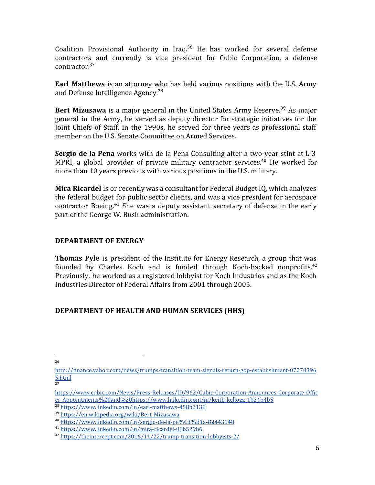Coalition Provisional Authority in Iraq. $36$  He has worked for several defense contractors and currently is vice president for Cubic Corporation, a defense contractor.<sup>37</sup>

**Earl Matthews** is an attorney who has held various positions with the U.S. Army and Defense Intelligence Agency.<sup>38</sup>

**Bert Mizusawa** is a major general in the United States Army Reserve.<sup>39</sup> As major general in the Army, he served as deputy director for strategic initiatives for the Joint Chiefs of Staff. In the 1990s, he served for three years as professional staff member on the U.S. Senate Committee on Armed Services.

**Sergio de la Pena** works with de la Pena Consulting after a two-year stint at L-3 MPRI, a global provider of private military contractor services.<sup>40</sup> He worked for more than 10 years previous with various positions in the U.S. military.

**Mira Ricardel** is or recently was a consultant for Federal Budget IQ, which analyzes the federal budget for public sector clients, and was a vice president for aerospace contractor Boeing.<sup>41</sup> She was a deputy assistant secretary of defense in the early part of the George W. Bush administration.

#### **DEPARTMENT OF ENERGY**

**Thomas Pyle** is president of the Institute for Energy Research, a group that was founded by Charles Koch and is funded through Koch-backed nonprofits. $42$ Previously, he worked as a registered lobbyist for Koch Industries and as the Koch Industries Director of Federal Affairs from 2001 through 2005.

#### **DEPARTMENT OF HEALTH AND HUMAN SERVICES (HHS)**

[http://finance.yahoo.com/news/trumps-transition-team-signals-return-gop-establishment-07270396](http://finance.yahoo.com/news/trumps-transition-team-signals-return-gop-establishment-072703965.html) [5.html](http://finance.yahoo.com/news/trumps-transition-team-signals-return-gop-establishment-072703965.html) 37

[https://www.cubic.com/News/Press-Releases/ID/962/Cubic-Corporation-Announces-Corporate-Offic](https://www.cubic.com/News/Press-Releases/ID/962/Cubic-Corporation-Announces-Corporate-Officer-Appointments%20and%20https://www.linkedin.com/in/keith-kellogg-1b24b4b5) [er-Appointments%20and%20https://www.linkedin.com/in/keith-kellogg-1b24b4b5](https://www.cubic.com/News/Press-Releases/ID/962/Cubic-Corporation-Announces-Corporate-Officer-Appointments%20and%20https://www.linkedin.com/in/keith-kellogg-1b24b4b5)

<sup>38</sup> <https://www.linkedin.com/in/earl-matthews-458b2138>

<sup>39</sup> [https://en.wikipedia.org/wiki/Bert\\_Mizusawa](https://en.wikipedia.org/wiki/Bert_Mizusawa)

<sup>40</sup> <https://www.linkedin.com/in/sergio-de-la-pe%C3%B1a-82443148>

<sup>41</sup> <https://www.linkedin.com/in/mira-ricardel-08b529b6>

<sup>42</sup> <https://theintercept.com/2016/11/22/trump-transition-lobbyists-2/>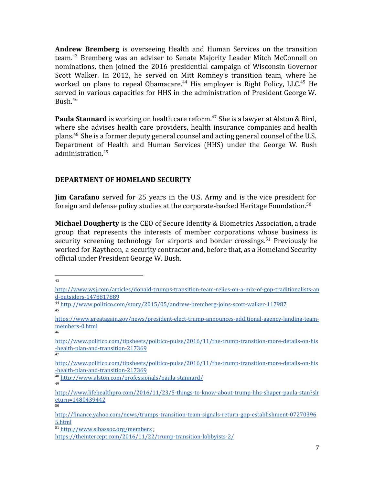**Andrew Bremberg** is overseeing Health and Human Services on the transition team.<sup>43</sup> Bremberg was an adviser to Senate Majority Leader Mitch McConnell on nominations, then joined the 2016 presidential campaign of Wisconsin Governor Scott Walker. In 2012, he served on Mitt Romney's transition team, where he worked on plans to repeal Obamacare.<sup>44</sup> His employer is Right Policy, LLC.<sup>45</sup> He served in various capacities for HHS in the administration of President George W. Bush. $46$ 

**Paula Stannard** is working on health care reform.<sup>47</sup> She is a lawyer at Alston & Bird, where she advises health care providers, health insurance companies and health plans. <sup>48</sup> She is a former deputy general counsel and acting general counsel of the U.S. Department of Health and Human Services (HHS) under the George W. Bush administration.<sup>49</sup>

#### **DEPARTMENT OF HOMELAND SECURITY**

**Jim Carafano** served for 25 years in the U.S. Army and is the vice president for foreign and defense policy studies at the corporate-backed Heritage Foundation.<sup>50</sup>

**Michael Dougherty** is the CEO of Secure Identity & Biometrics Association, a trade group that represents the interests of member corporations whose business is security screening technology for airports and border crossings.<sup>51</sup> Previously he worked for Raytheon, a security contractor and, before that, as a Homeland Security official under President George W. Bush.

43

<sup>48</sup> <http://www.alston.com/professionals/paula-stannard/> 49

[http://www.wsj.com/articles/donald-trumps-transition-team-relies-on-a-mix-of-gop-traditionalists-an](http://www.wsj.com/articles/donald-trumps-transition-team-relies-on-a-mix-of-gop-traditionalists-and-outsiders-1478817889) [d-outsiders-1478817889](http://www.wsj.com/articles/donald-trumps-transition-team-relies-on-a-mix-of-gop-traditionalists-and-outsiders-1478817889)

<sup>44</sup> <http://www.politico.com/story/2015/05/andrew-bremberg-joins-scott-walker-117987> 45

[https://www.greatagain.gov/news/president-elect-trump-announces-additional-agency-landing-team](https://www.greatagain.gov/news/president-elect-trump-announces-additional-agency-landing-team-members-0.html)[members-0.html](https://www.greatagain.gov/news/president-elect-trump-announces-additional-agency-landing-team-members-0.html) 46

[http://www.politico.com/tipsheets/politico-pulse/2016/11/the-trump-transition-more-details-on-his](http://www.politico.com/tipsheets/politico-pulse/2016/11/the-trump-transition-more-details-on-his-health-plan-and-transition-217369) [-health-plan-and-transition-217369](http://www.politico.com/tipsheets/politico-pulse/2016/11/the-trump-transition-more-details-on-his-health-plan-and-transition-217369) 47

[http://www.politico.com/tipsheets/politico-pulse/2016/11/the-trump-transition-more-details-on-his](http://www.politico.com/tipsheets/politico-pulse/2016/11/the-trump-transition-more-details-on-his-health-plan-and-transition-217369) [-health-plan-and-transition-217369](http://www.politico.com/tipsheets/politico-pulse/2016/11/the-trump-transition-more-details-on-his-health-plan-and-transition-217369)

[http://www.lifehealthpro.com/2016/11/23/5-things-to-know-about-trump-hhs-shaper-paula-stan?slr](http://www.lifehealthpro.com/2016/11/23/5-things-to-know-about-trump-hhs-shaper-paula-stan?slreturn=1480439442) [eturn=1480439442](http://www.lifehealthpro.com/2016/11/23/5-things-to-know-about-trump-hhs-shaper-paula-stan?slreturn=1480439442) 50

[http://finance.yahoo.com/news/trumps-transition-team-signals-return-gop-establishment-07270396](http://finance.yahoo.com/news/trumps-transition-team-signals-return-gop-establishment-072703965.html) [5.html](http://finance.yahoo.com/news/trumps-transition-team-signals-return-gop-establishment-072703965.html)

<sup>51</sup> <http://www.sibassoc.org/members> ;

<https://theintercept.com/2016/11/22/trump-transition-lobbyists-2/>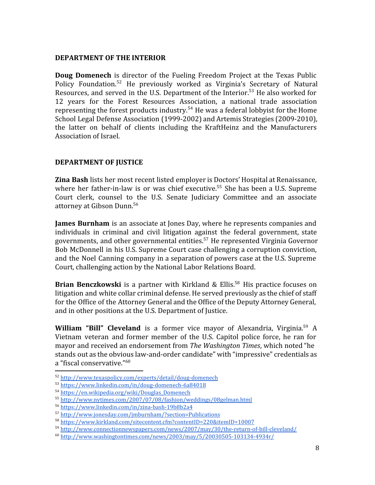#### **DEPARTMENT OF THE INTERIOR**

**Doug Domenech** is director of the Fueling Freedom Project at the Texas Public Policy Foundation.<sup>52</sup> He previously worked as Virginia's Secretary of Natural Resources, and served in the U.S. Department of the Interior.<sup>53</sup> He also worked for 12 years for the Forest Resources Association, a national trade association representing the forest products industry.<sup>54</sup> He was a federal lobbyist for the Home School Legal Defense Association (1999-2002) and Artemis Strategies (2009-2010), the latter on behalf of clients including the KraftHeinz and the Manufacturers Association of Israel.

## **DEPARTMENT OF JUSTICE**

**Zina Bash** lists her most recent listed employer is Doctors' Hospital at Renaissance, where her father-in-law is or was chief executive.<sup>55</sup> She has been a U.S. Supreme Court clerk, counsel to the U.S. Senate Judiciary Committee and an associate attorney at Gibson Dunn.<sup>56</sup>

**James Burnham** is an associate at Jones Day, where he represents companies and individuals in criminal and civil litigation against the federal government, state governments, and other governmental entities.<sup>57</sup> He represented Virginia Governor Bob McDonnell in his U.S. Supreme Court case challenging a corruption conviction, and the Noel Canning company in a separation of powers case at the U.S. Supreme Court, challenging action by the National Labor Relations Board.

**Brian Benczkowski** is a partner with Kirkland & Ellis.<sup>58</sup> His practice focuses on litigation and white collar criminal defense. He served previously as the chief of staff for the Office of the Attorney General and the Office of the Deputy Attorney General, and in other positions at the U.S. Department of Justice.

**William "Bill" Cleveland** is a former vice mayor of Alexandria, Virginia.<sup>59</sup> A Vietnam veteran and former member of the U.S. Capitol police force, he ran for mayor and received an endorsement from *The Washington Times*, which noted "he stands out as the obvious law-and-order candidate" with "impressive" credentials as a "fiscal conservative."<sup>60</sup>

<sup>52</sup> <http://www.texaspolicy.com/experts/detail/doug-domenech>

<sup>53</sup> <https://www.linkedin.com/in/doug-domenech-6a84018>

<sup>54</sup> [https://en.wikipedia.org/wiki/Douglas\\_Domenech](https://en.wikipedia.org/wiki/Douglas_Domenech)

<sup>55</sup> <http://www.nytimes.com/2007/07/08/fashion/weddings/08gelman.html>

<sup>56</sup> <https://www.linkedin.com/in/zina-bash-19b8b2a4>

<sup>57</sup> <http://www.jonesday.com/jmburnham/?section=Publications>

<sup>58</sup> <https://www.kirkland.com/sitecontent.cfm?contentID=220&itemID=10007>

<sup>59</sup> <http://www.connectionnewspapers.com/news/2007/may/30/the-return-of-bill-cleveland/>

 $^{60}$  <http://www.washingtontimes.com/news/2003/may/5/20030505-103134-4934r/>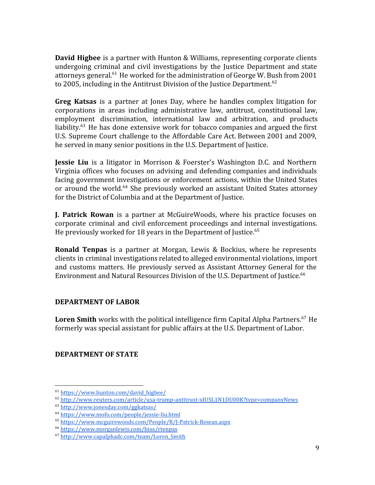**David Higbee** is a partner with Hunton & Williams, representing corporate clients undergoing criminal and civil investigations by the Justice Department and state attorneys general.<sup>61</sup> He worked for the administration of George W. Bush from 2001 to 2005, including in the Antitrust Division of the Justice Department.<sup>62</sup>

**Greg Katsas** is a partner at Jones Day, where he handles complex litigation for corporations in areas including administrative law, antitrust, constitutional law, employment discrimination, international law and arbitration, and products liability.<sup>63</sup> He has done extensive work for tobacco companies and argued the first U.S. Supreme Court challenge to the Affordable Care Act. Between 2001 and 2009, he served in many senior positions in the U.S. Department of Justice.

**Jessie Liu** is a litigator in Morrison & Foerster's Washington D.C. and Northern Virginia offices who focuses on advising and defending companies and individuals facing government investigations or enforcement actions, within the United States or around the world.<sup>64</sup> She previously worked an assistant United States attorney for the District of Columbia and at the Department of Justice.

**J. Patrick Rowan** is a partner at McGuireWoods, where his practice focuses on corporate criminal and civil enforcement proceedings and internal investigations. He previously worked for 18 years in the Department of Justice.<sup>65</sup>

**Ronald Tenpas** is a partner at Morgan, Lewis & Bockius, where he represents clients in criminal investigations related to alleged environmental violations, import and customs matters. He previously served as Assistant Attorney General for the Environment and Natural Resources Division of the U.S. Department of Justice.<sup>66</sup>

#### **DEPARTMENT OF LABOR**

**Loren Smith** works with the political intelligence firm Capital Alpha Partners.<sup>67</sup> He formerly was special assistant for public affairs at the U.S. Department of Labor.

#### **DEPARTMENT OF STATE**

<sup>61</sup> [https://www.hunton.com/david\\_higbee/](https://www.hunton.com/david_higbee/)

<sup>62</sup> <http://www.reuters.com/article/usa-trump-antitrust-idUSL1N1DU00K?type=companyNews>

<sup>63</sup> <http://www.jonesday.com/ggkatsas/>

<sup>64</sup> <https://www.mofo.com/people/jessie-liu.html>

<sup>65</sup> <https://www.mcguirewoods.com/People/R/J-Patrick-Rowan.aspx>

<sup>66</sup> <https://www.morganlewis.com/bios/rtenpas>

<sup>67</sup> [http://www.capalphadc.com/team/Loren\\_Smith](http://www.capalphadc.com/team/Loren_Smith)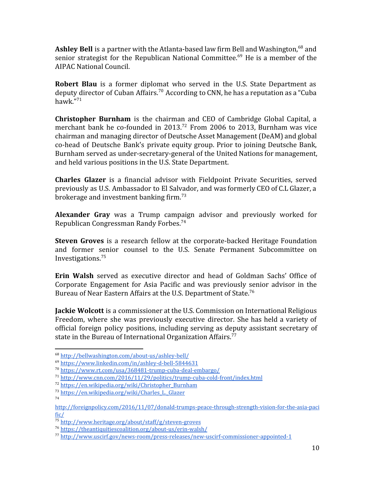**Ashley Bell** is a partner with the Atlanta-based law firm Bell and Washington, <sup>68</sup> and senior strategist for the Republican National Committee.<sup>69</sup> He is a member of the AIPAC National Council.

**Robert Blau** is a former diplomat who served in the U.S. State Department as deputy director of Cuban Affairs.<sup>70</sup> According to CNN, he has a reputation as a "Cuba" hawk."<sup>71</sup>

**Christopher Burnham** is the chairman and CEO of Cambridge Global Capital, a merchant bank he co-founded in  $2013$ <sup>72</sup> From 2006 to 2013, Burnham was vice chairman and managing director of Deutsche Asset Management (DeAM) and global co-head of Deutsche Bank's private equity group. Prior to joining Deutsche Bank, Burnham served as under-secretary-general of the United Nations for management, and held various positions in the U.S. State Department.

**Charles Glazer** is a financial advisor with Fieldpoint Private Securities, served previously as U.S. Ambassador to El Salvador, and was formerly CEO of C.L Glazer, a brokerage and investment banking firm.<sup>73</sup>

**Alexander Gray** was a Trump campaign advisor and previously worked for Republican Congressman Randy Forbes.<sup>74</sup>

**Steven Groves** is a research fellow at the corporate-backed Heritage Foundation and former senior counsel to the U.S. Senate Permanent Subcommittee on Investigations.<sup>75</sup>

**Erin Walsh** served as executive director and head of Goldman Sachs' Office of Corporate Engagement for Asia Pacific and was previously senior advisor in the Bureau of Near Eastern Affairs at the U.S. Department of State.<sup>76</sup>

**Jackie Wolcott** is a commissioner at the U.S. Commission on International Religious Freedom, where she was previously executive director. She has held a variety of official foreign policy positions, including serving as deputy assistant secretary of state in the Bureau of International Organization Affairs.<sup>77</sup>

<sup>68</sup> <http://bellwashington.com/about-us/ashley-bell/>

<sup>69</sup> <https://www.linkedin.com/in/ashley-d-bell-5844631>

<sup>70</sup> <https://www.rt.com/usa/368481-trump-cuba-deal-embargo/>

<sup>71</sup> <http://www.cnn.com/2016/11/29/politics/trump-cuba-cold-front/index.html>

<sup>72</sup> [https://en.wikipedia.org/wiki/Christopher\\_Burnham](https://en.wikipedia.org/wiki/Christopher_Burnham)

<sup>73</sup> [https://en.wikipedia.org/wiki/Charles\\_L.\\_Glazer](https://en.wikipedia.org/wiki/Charles_L._Glazer) 74

[http://foreignpolicy.com/2016/11/07/donald-trumps-peace-through-strength-vision-for-the-asia-paci](http://foreignpolicy.com/2016/11/07/donald-trumps-peace-through-strength-vision-for-the-asia-pacific/) [fic/](http://foreignpolicy.com/2016/11/07/donald-trumps-peace-through-strength-vision-for-the-asia-pacific/)

<sup>75</sup> <http://www.heritage.org/about/staff/g/steven-groves>

<sup>76</sup> <https://theantiquitiescoalition.org/about-us/erin-walsh/>

<sup>77</sup> <http://www.uscirf.gov/news-room/press-releases/new-uscirf-commissioner-appointed-1>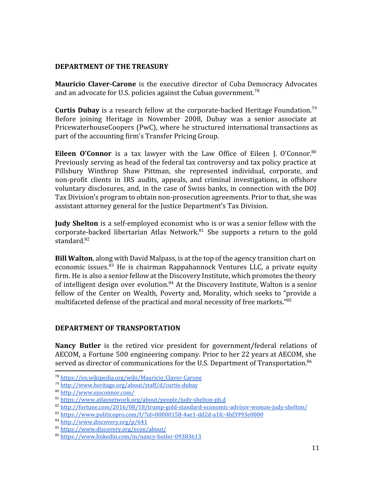#### **DEPARTMENT OF THE TREASURY**

**Mauricio Claver-Carone** is the executive director of Cuba Democracy Advocates and an advocate for U.S. policies against the Cuban government.<sup>78</sup>

**Curtis Dubay** is a research fellow at the corporate-backed Heritage Foundation.<sup>79</sup> Before joining Heritage in November 2008, Dubay was a senior associate at PricewaterhouseCoopers (PwC), where he structured international transactions as part of the accounting firm's Transfer Pricing Group.

**Eileen O'Connor** is a tax lawyer with the Law Office of Eileen J. O'Connor.<sup>80</sup> Previously serving as head of the federal tax controversy and tax policy practice at Pillsbury Winthrop Shaw Pittman, she represented individual, corporate, and non-profit clients in IRS audits, appeals, and criminal investigations, in offshore voluntary disclosures, and, in the case of Swiss banks, in connection with the DOJ Tax Division's program to obtain non-prosecution agreements. Prior to that, she was assistant attorney general for the Justice Department's Tax Division.

**Judy Shelton** is a self-employed economist who is or was a senior fellow with the corporate-backed libertarian Atlas Network.<sup>81</sup> She supports a return to the gold standard. $82$ 

**Bill Walton**, along with David Malpass, is at the top of the agency transition chart on economic issues. $83$  He is chairman Rappahannock Ventures LLC, a private equity firm. He is also a senior fellow at the Discovery Institute, which promotes the theory of intelligent design over evolution. $84$  At the Discovery Institute, Walton is a senior fellow of the Center on Wealth, Poverty and, Morality, which seeks to "provide a multifaceted defense of the practical and moral necessity of free markets."<sup>85</sup>

#### **DEPARTMENT OF TRANSPORTATION**

**Nancy Butler** is the retired vice president for government/federal relations of AECOM, a Fortune 500 engineering company. Prior to her 22 years at AECOM, she served as director of communications for the U.S. Department of Transportation.<sup>86</sup>

<sup>78</sup> [https://en.wikipedia.org/wiki/Mauricio\\_Claver-Carone](https://en.wikipedia.org/wiki/Mauricio_Claver-Carone)

<sup>79</sup> <http://www.heritage.org/about/staff/d/curtis-dubay>

<sup>80</sup> <http://www.ejoconnor.com/>

<sup>81</sup> <https://www.atlasnetwork.org/about/people/judy-shelton-ph.d>

<sup>82</sup> <http://fortune.com/2016/08/18/trump-gold-standard-economic-advisor-woman-judy-shelton/>

<sup>83</sup> <https://www.politicopro.com/f/?id=00000158-4ae1-dd2d-a1fc-4bf3993e0000>

<sup>84</sup> <http://www.discovery.org/p/641>

<sup>85</sup> <https://www.discovery.org/econ/about/>

<sup>86</sup> <https://www.linkedin.com/in/nancy-butler-09383613>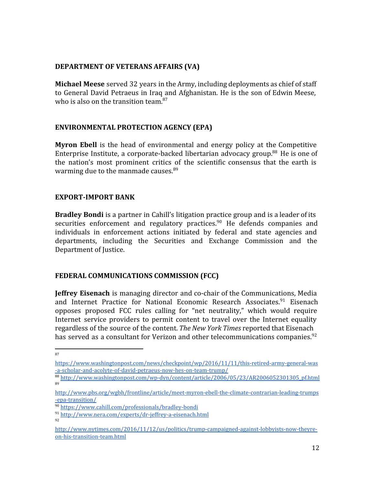#### **DEPARTMENT OF VETERANS AFFAIRS (VA)**

**Michael Meese** served 32 years in the Army, including deployments as chief of staff to General David Petraeus in Iraq and Afghanistan. He is the son of Edwin Meese, who is also on the transition team.<sup>87</sup>

## **[E](https://medium.com/public-citizen/the-people-shaping-the-trump-administration-5e9e430c0dd7#_ftn84)NVIRONMENTAL PROTECTION AGENCY (EPA)**

**Myron Ebell** is the head of environmental and energy policy at the Competitive Enterprise Institute, a corporate-backed libertarian advocacy group.<sup>88</sup> He is one of the nation's most prominent critics of the scientific consensus that the earth is warming due to the manmade causes. $89$ 

## **EXPORT-IMPORT BANK**

**Bradley Bondi** is a partner in Cahill's litigation practice group and is a leader of its securities enforcement and regulatory practices.<sup>90</sup> He defends companies and individuals in enforcement actions initiated by federal and state agencies and departments, including the Securities and Exchange Commission and the Department of Justice.

# **FEDERAL COMMUNICATIONS COMMISSION (FCC)**

**Jeffrey Eisenach** is managing director and co-chair of the Communications, Media and Internet Practice for National Economic Research Associates.<sup>91</sup> Eisenach opposes proposed FCC rules calling for "net neutrality," which would require Internet service providers to permit content to travel over the Internet equality regardless of the source of the content. *The New York Times* reported that Eisenach has served as a consultant for Verizon and other telecommunications companies.<sup>92</sup>

[https://www.washingtonpost.com/news/checkpoint/wp/2016/11/11/this-retired-army-general-was](https://www.washingtonpost.com/news/checkpoint/wp/2016/11/11/this-retired-army-general-was-a-scholar-and-acolyte-of-david-petraeus-now-hes-on-team-trump/) [-a-scholar-and-acolyte-of-david-petraeus-now-hes-on-team-trump/](https://www.washingtonpost.com/news/checkpoint/wp/2016/11/11/this-retired-army-general-was-a-scholar-and-acolyte-of-david-petraeus-now-hes-on-team-trump/)

<sup>88</sup> [http://www.washingtonpost.com/wp-dyn/content/article/2006/05/23/AR2006052301305\\_pf.html](http://www.washingtonpost.com/wp-dyn/content/article/2006/05/23/AR2006052301305_pf.html) 89

[http://www.pbs.org/wgbh/frontline/article/meet-myron-ebell-the-climate-contrarian-leading-trumps](http://www.pbs.org/wgbh/frontline/article/meet-myron-ebell-the-climate-contrarian-leading-trumps-epa-transition/) [-epa-transition/](http://www.pbs.org/wgbh/frontline/article/meet-myron-ebell-the-climate-contrarian-leading-trumps-epa-transition/)

<sup>90</sup> <https://www.cahill.com/professionals/bradley-bondi>

<sup>91</sup> <http://www.nera.com/experts/dr-jeffrey-a-eisenach.html> 92

[http://www.nytimes.com/2016/11/12/us/politics/trump-campaigned-against-lobbyists-now-theyre](http://www.nytimes.com/2016/11/12/us/politics/trump-campaigned-against-lobbyists-now-theyre-on-his-transition-team.html)[on-his-transition-team.html](http://www.nytimes.com/2016/11/12/us/politics/trump-campaigned-against-lobbyists-now-theyre-on-his-transition-team.html)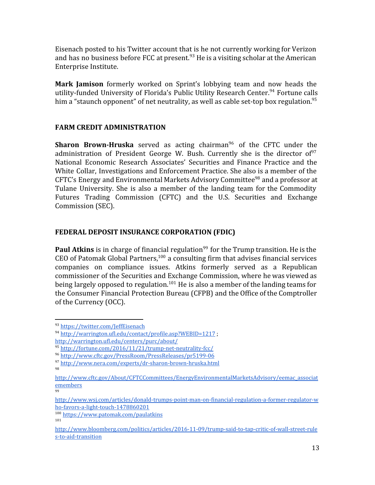Eisenach posted to his Twitter account that is he not currently working for Verizon and has no business before FCC at present.<sup>93</sup> He is a visiting scholar at the American Enterprise Institute.

**Mark Jamison** formerly worked on Sprint's lobbying team and now heads the utility-funded University of Florida's Public Utility Research Center.<sup>94</sup> Fortune calls him a "staunch opponent" of net neutrality, as well as cable set-top box regulation.<sup>95</sup>

## **FARM CREDIT ADMINISTRATION**

**Sharon Brown-Hruska** served as acting chairman<sup>96</sup> of the CFTC under the administration of President George W. Bush. Currently she is the director of  $97$ National Economic Research Associates' Securities and Finance Practice and the White Collar, Investigations and Enforcement Practice. She also is a member of the CFTC's Energy and Environmental Markets Advisory Committee<sup>98</sup> and a professor at Tulane University. She is also a member of the landing team for the Commodity Futures Trading Commission (CFTC) and the U.S. Securities and Exchange Commission (SEC).

## **FEDERAL DEPOSIT INSURANCE CORPORATION (FDIC)**

**Paul Atkins** is in charge of financial regulation<sup>99</sup> for the Trump transition. He is the CEO of Patomak Global Partners, $100$  a consulting firm that advises financial services companies on compliance issues. Atkins formerly served as a Republican commissioner of the Securities and Exchange Commission, where he was viewed as being largely opposed to regulation.<sup>101</sup> He is also a member of the landing teams for the Consumer Financial Protection Bureau (CFPB) and the Office of the Comptroller of the Currency (OCC).

<sup>93</sup> <https://twitter.com/JeffEisenach>

<sup>94</sup> http://warrington.ufl.edu/contact/profile.asp?WEBID=1217;

<http://warrington.ufl.edu/centers/purc/about/>

<sup>95</sup> <http://fortune.com/2016/11/21/trump-net-neutrality-fcc/>

<sup>96</sup> <http://www.cftc.gov/PressRoom/PressReleases/pr5199-06>

<sup>97</sup> <http://www.nera.com/experts/dr-sharon-brown-hruska.html>

<sup>98</sup>

[http://www.cftc.gov/About/CFTCCommittees/EnergyEnvironmentalMarketsAdvisory/eemac\\_associat](http://www.cftc.gov/About/CFTCCommittees/EnergyEnvironmentalMarketsAdvisory/eemac_associatemembers) [emembers](http://www.cftc.gov/About/CFTCCommittees/EnergyEnvironmentalMarketsAdvisory/eemac_associatemembers)

<sup>99</sup>

[http://www.wsj.com/articles/donald-trumps-point-man-on-financial-regulation-a-former-regulator-w](http://www.wsj.com/articles/donald-trumps-point-man-on-financial-regulation-a-former-regulator-who-favors-a-light-touch-1478860201) [ho-favors-a-light-touch-1478860201](http://www.wsj.com/articles/donald-trumps-point-man-on-financial-regulation-a-former-regulator-who-favors-a-light-touch-1478860201)

<sup>100</sup> <https://www.patomak.com/paulatkins> 101

[http://www.bloomberg.com/politics/articles/2016-11-09/trump-said-to-tap-critic-of-wall-street-rule](http://www.bloomberg.com/politics/articles/2016-11-09/trump-said-to-tap-critic-of-wall-street-rules-to-aid-transition) [s-to-aid-transition](http://www.bloomberg.com/politics/articles/2016-11-09/trump-said-to-tap-critic-of-wall-street-rules-to-aid-transition)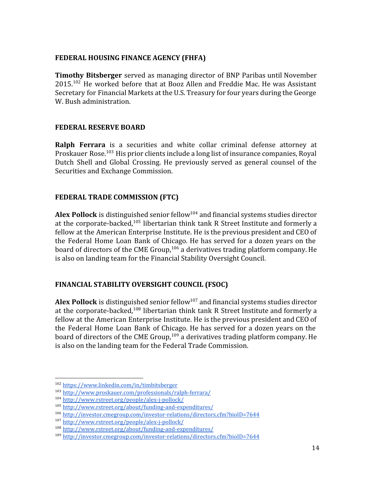# **FEDERAL HOUSING FINANCE AGENCY (FHFA)**

**Timothy Bitsberger** served as managing director of BNP Paribas until November  $2015$ <sup>102</sup> He worked before that at Booz Allen and Freddie Mac. He was Assistant Secretary for Financial Markets at the U.S. Treasury for four years during the George W. Bush administration.

## **FEDERAL RESERVE BOARD**

**Ralph Ferrara** is a securities and white collar criminal defense attorney at Proskauer Rose.<sup>103</sup> His prior clients include a long list of insurance companies, Royal Dutch Shell and Global Crossing. He previously served as general counsel of the Securities and Exchange Commission.

# **FEDERAL TRADE COMMISSION (FTC)**

**Alex Pollock** is distinguished senior fellow<sup>104</sup> and financial systems studies director at the corporate-backed, $^{105}$  libertarian think tank R Street Institute and formerly a fellow at the American Enterprise Institute. He is the previous president and CEO of the Federal Home Loan Bank of Chicago. He has served for a dozen years on the board of directors of the CME Group,  $106$  a derivatives trading platform company. He is also on landing team for the Financial Stability Oversight Council.

# **FINANCIAL STABILITY OVERSIGHT COUNCIL (FSOC)**

**Alex Pollock** is distinguished senior fellow<sup>107</sup> and financial systems studies director at the corporate-backed,  $^{108}$  libertarian think tank R Street Institute and formerly a fellow at the American Enterprise Institute. He is the previous president and CEO of the Federal Home Loan Bank of Chicago. He has served for a dozen years on the board of directors of the CME Group,  $109$  a derivatives trading platform company. He is also on the landing team for the Federal Trade Commission.

<sup>102</sup> <https://www.linkedin.com/in/timbitsberger>

<sup>103</sup> <http://www.proskauer.com/professionals/ralph-ferrara/>

<sup>104</sup> <http://www.rstreet.org/people/alex-j-pollock/>

<sup>105</sup> <http://www.rstreet.org/about/funding-and-expenditures/>

<sup>106</sup> <http://investor.cmegroup.com/investor-relations/directors.cfm?bioID=7644>

<sup>107</sup> <http://www.rstreet.org/people/alex-j-pollock/>

<sup>108</sup> <http://www.rstreet.org/about/funding-and-expenditures/>

<sup>109</sup> <http://investor.cmegroup.com/investor-relations/directors.cfm?bioID=7644>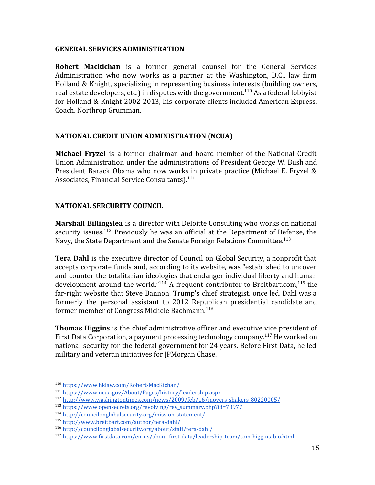#### **GENERAL SERVICES ADMINISTRATION**

**Robert Mackichan** is a former general counsel for the General Services Administration who now works as a partner at the Washington, D.C., law firm Holland & Knight, specializing in representing business interests (building owners, real estate developers, etc.) in disputes with the government.<sup>110</sup> As a federal lobbyist for Holland & Knight 2002-2013, his corporate clients included American Express, Coach, Northrop Grumman.

## **NATIONAL CREDIT UNION ADMINISTRATION (NCUA)**

**Michael Fryzel** is a former chairman and board member of the National Credit Union Administration under the administrations of President George W. Bush and President Barack Obama who now works in private practice (Michael E. Fryzel & Associates, Financial Service Consultants).<sup>111</sup>

#### **NATIONAL SERCURITY COUNCIL**

**Marshall Billingslea** is a director with Deloitte Consulting who works on national security issues.<sup>112</sup> Previously he was an official at the Department of Defense, the Navy, the State Department and the Senate Foreign Relations Committee.<sup>113</sup>

**Tera Dahl** is the executive director of Council on Global Security, a nonprofit that accepts corporate funds and, according to its website, was "established to uncover and counter the totalitarian ideologies that endanger individual liberty and human development around the world."<sup>114</sup> A frequent contributor to Breitbart.com,<sup>115</sup> the far-right website that Steve Bannon, Trump's chief strategist, once led, Dahl was a formerly the personal assistant to 2012 Republican presidential candidate and former member of Congress Michele Bachmann.<sup>116</sup>

**Thomas Higgins** is the chief administrative officer and executive vice president of First Data Corporation, a payment processing technology company.<sup>117</sup> He worked on national security for the federal government for 24 years. Before First Data, he led military and veteran initiatives for JPMorgan Chase.

<sup>110</sup> <https://www.hklaw.com/Robert-MacKichan/>

<sup>111</sup> <https://www.ncua.gov/About/Pages/history/leadership.aspx>

<sup>112</sup> <http://www.washingtontimes.com/news/2009/feb/16/movers-shakers-80220005/>

<sup>113</sup> [https://www.opensecrets.org/revolving/rev\\_summary.php?id=70977](https://www.opensecrets.org/revolving/rev_summary.php?id=70977)

<sup>114</sup> <http://councilonglobalsecurity.org/mission-statement/>

<sup>115</sup> <http://www.breitbart.com/author/tera-dahl/>

<sup>116</sup> <http://councilonglobalsecurity.org/about/staff/tera-dahl/>

<sup>117</sup> [https://www.firstdata.com/en\\_us/about-first-data/leadership-team/tom-higgins-bio.html](https://www.firstdata.com/en_us/about-first-data/leadership-team/tom-higgins-bio.html)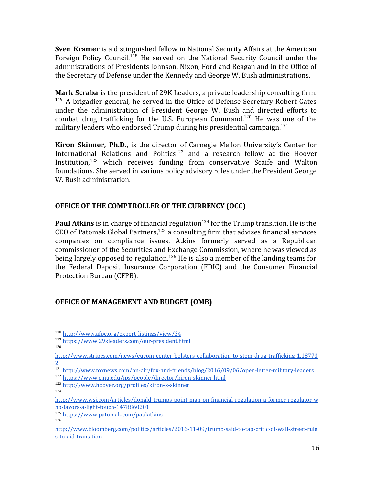**Sven Kramer** is a distinguished fellow in National Security Affairs at the American Foreign Policy Council.<sup>118</sup> He served on the National Security Council under the administrations of Presidents Johnson, Nixon, Ford and Reagan and in the Office of the Secretary of Defense under the Kennedy and George W. Bush administrations.

**Mark Scraba** is the president of 29K Leaders, a private leadership consulting firm.  $119$  A brigadier general, he served in the Office of Defense Secretary Robert Gates under the administration of President George W. Bush and directed efforts to combat drug trafficking for the U.S. European Command.<sup>120</sup> He was one of the military leaders who endorsed Trump during his presidential campaign.<sup>121</sup>

**Kiron Skinner, Ph.D.,** is the director of Carnegie Mellon University's Center for International Relations and Politics<sup>122</sup> and a research fellow at the Hoover Institution, $123$  which receives funding from conservative Scaife and Walton foundations. She served in various policy advisory roles under the President George W. Bush administration.

## **OFFICE OF THE COMPTROLLER OF THE CURRENCY (OCC)**

**Paul Atkins** is in charge of financial regulation<sup>124</sup> for the Trump transition. He is the CEO of Patomak Global Partners, $125$  a consulting firm that advises financial services companies on compliance issues. Atkins formerly served as a Republican commissioner of the Securities and Exchange Commission, where he was viewed as being largely opposed to regulation.<sup>126</sup> He is also a member of the landing teams for the Federal Deposit Insurance Corporation (FDIC) and the Consumer Financial Protection Bureau (CFPB).

#### **OFFICE OF MANAGEMENT AND BUDGET (OMB)**

- <sup>121</sup> <http://www.foxnews.com/on-air/fox-and-friends/blog/2016/09/06/open-letter-military-leaders> <sup>122</sup> <https://www.cmu.edu/ips/people/director/kiron-skinner.html>
- <sup>123</sup> <http://www.hoover.org/profiles/kiron-k-skinner>
- 124

<sup>118</sup> [http://www.afpc.org/expert\\_listings/view/34](http://www.afpc.org/expert_listings/view/34)

<sup>119</sup> <https://www.29kleaders.com/our-president.html>

<sup>120</sup>

[http://www.stripes.com/news/eucom-center-bolsters-collaboration-to-stem-drug-trafficking-1.18773](http://www.stripes.com/news/eucom-center-bolsters-collaboration-to-stem-drug-trafficking-1.187732) [2](http://www.stripes.com/news/eucom-center-bolsters-collaboration-to-stem-drug-trafficking-1.187732)

[http://www.wsj.com/articles/donald-trumps-point-man-on-financial-regulation-a-former-regulator-w](http://www.wsj.com/articles/donald-trumps-point-man-on-financial-regulation-a-former-regulator-who-favors-a-light-touch-1478860201) [ho-favors-a-light-touch-1478860201](http://www.wsj.com/articles/donald-trumps-point-man-on-financial-regulation-a-former-regulator-who-favors-a-light-touch-1478860201)

<sup>125</sup> <https://www.patomak.com/paulatkins> 126

[http://www.bloomberg.com/politics/articles/2016-11-09/trump-said-to-tap-critic-of-wall-street-rule](http://www.bloomberg.com/politics/articles/2016-11-09/trump-said-to-tap-critic-of-wall-street-rules-to-aid-transition) [s-to-aid-transition](http://www.bloomberg.com/politics/articles/2016-11-09/trump-said-to-tap-critic-of-wall-street-rules-to-aid-transition)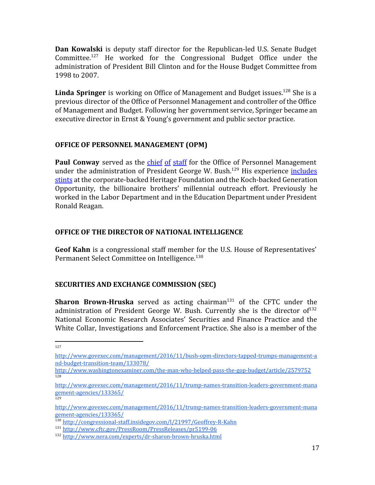**Dan Kowalski** is deputy staff director for the Republican-led U.S. Senate Budget Committee.<sup>127</sup> He worked for the Congressional Budget Office under the administration of President Bill Clinton and for the House Budget Committee from 1998 to 2007.

Linda Springer is working on Office of Management and Budget issues.<sup>128</sup> She is a previous director of the Office of Personnel Management and controller of the Office of Management and Budget. Following her government service, Springer became an executive director in Ernst & Young's government and public sector practice.

#### **OFFICE OF PERSONNEL MANAGEMENT (OPM)**

**Paul Conway** served as the [chief](http://www.govexec.com/management/2016/11/trump-names-transition-leaders-government-management-agencies/133365/) of staff for the Office of Personnel Management under the administration of President George W. Bush. $129$  His experience [includes](http://www.govexec.com/management/2016/11/trump-names-transition-leaders-government-management-agencies/133365/) [stints](http://www.govexec.com/management/2016/11/trump-names-transition-leaders-government-management-agencies/133365/) at the corporate-backed Heritage Foundation and the Koch-backed Generation Opportunity, the billionaire brothers' millennial outreach effort. Previously he worked in the Labor Department and in the Education Department under President Ronald Reagan.

#### **OFFICE OF THE DIRECTOR OF NATIONAL INTELLIGENCE**

**Geof Kahn** is a congressional staff member for the U.S. House of Representatives' Permanent Select Committee on Intelligence.<sup>130</sup>

#### **SECURITIES AND EXCHANGE COMMISSION (SEC)**

**Sharon Brown-Hruska** served as acting chairman<sup>131</sup> of the CFTC under the administration of President George W. Bush. Currently she is the director of  $132$ National Economic Research Associates' Securities and Finance Practice and the White Collar, Investigations and Enforcement Practice. She also is a member of the

<sup>127</sup>

[http://www.govexec.com/management/2016/11/bush-opm-directors-tapped-trumps-management-a](http://www.govexec.com/management/2016/11/bush-opm-directors-tapped-trumps-management-and-budget-transition-team/133078/) [nd-budget-transition-team/133078/](http://www.govexec.com/management/2016/11/bush-opm-directors-tapped-trumps-management-and-budget-transition-team/133078/)

<http://www.washingtonexaminer.com/the-man-who-helped-pass-the-gop-budget/article/2579752> 128

[http://www.govexec.com/management/2016/11/trump-names-transition-leaders-government-mana](http://www.govexec.com/management/2016/11/trump-names-transition-leaders-government-management-agencies/133365/) [gement-agencies/133365/](http://www.govexec.com/management/2016/11/trump-names-transition-leaders-government-management-agencies/133365/)

[http://www.govexec.com/management/2016/11/trump-names-transition-leaders-government-mana](http://www.govexec.com/management/2016/11/trump-names-transition-leaders-government-management-agencies/133365/) [gement-agencies/133365/](http://www.govexec.com/management/2016/11/trump-names-transition-leaders-government-management-agencies/133365/)

<sup>130</sup> <http://congressional-staff.insidegov.com/l/21997/Geoffrey-R-Kahn>

<sup>131</sup> <http://www.cftc.gov/PressRoom/PressReleases/pr5199-06>

<sup>132</sup> <http://www.nera.com/experts/dr-sharon-brown-hruska.html>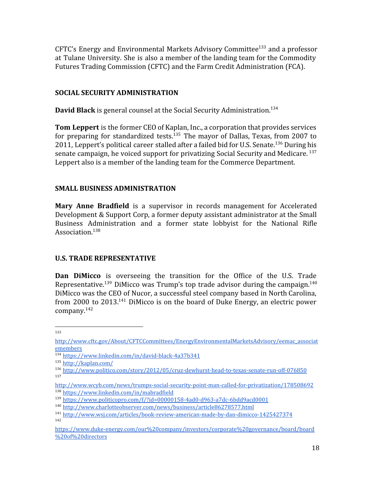$CFTC's Energy and Environmental Markets Advisory Committee<sup>133</sup> and a professor$ at Tulane University. She is also a member of the landing team for the Commodity Futures Trading Commission (CFTC) and the Farm Credit Administration (FCA).

#### **SOCIAL SECURITY ADMINISTRATION**

**David Black** is general counsel at the Social Security Administration.<sup>134</sup>

**Tom Leppert** is the former CEO of Kaplan, Inc., a corporation that provides services for preparing for standardized tests.  $135$  The mayor of Dallas, Texas, from 2007 to 2011, Leppert's political career stalled after a failed bid for U.S. Senate.<sup>136</sup> During his senate campaign, he voiced support for privatizing Social Security and Medicare.<sup>137</sup> Leppert also is a member of the landing team for the Commerce Department.

## **SMALL BUSINESS ADMINISTRATION**

**Mary Anne Bradfield** is a supervisor in records management for Accelerated Development & Support Corp, a former deputy assistant administrator at the Small Business Administration and a former state lobbyist for the National Rifle Association.<sup>138</sup>

#### **U.S. TRADE REPRESENTATIVE**

**Dan DiMicco** is overseeing the transition for the Office of the U.S. Trade Representative.<sup>139</sup> DiMicco was Trump's top trade advisor during the campaign.<sup>140</sup> DiMicco was the CEO of Nucor, a successful steel company based in North Carolina, from 2000 to 2013.<sup>141</sup> DiMicco is on the board of Duke Energy, an electric power company.<sup>142</sup>

[http://www.cftc.gov/About/CFTCCommittees/EnergyEnvironmentalMarketsAdvisory/eemac\\_associat](http://www.cftc.gov/About/CFTCCommittees/EnergyEnvironmentalMarketsAdvisory/eemac_associatemembers) [emembers](http://www.cftc.gov/About/CFTCCommittees/EnergyEnvironmentalMarketsAdvisory/eemac_associatemembers)

<sup>134</sup> <https://www.linkedin.com/in/david-black-4a37b341>

<sup>135</sup> <http://kaplan.com/>

<sup>136</sup> <http://www.politico.com/story/2012/05/cruz-dewhurst-head-to-texas-senate-run-off-076850> 137

<http://www.wcyb.com/news/trumps-social-security-point-man-called-for-privatization/178508692> <sup>138</sup> <https://www.linkedin.com/in/mabradfield>

<sup>139</sup> <https://www.politicopro.com/f/?id=00000158-4ad0-d963-a7dc-6bdd9acd0001>

<sup>140</sup> <http://www.charlotteobserver.com/news/business/article86278577.html>

<sup>141</sup> <http://www.wsj.com/articles/book-review-american-made-by-dan-dimicco-1425427374> 142

[https://www.duke-energy.com/our%20company/investors/corporate%20governance/board/board](https://www.duke-energy.com/our%20company/investors/corporate%20governance/board/board%20of%20directors) [%20of%20directors](https://www.duke-energy.com/our%20company/investors/corporate%20governance/board/board%20of%20directors)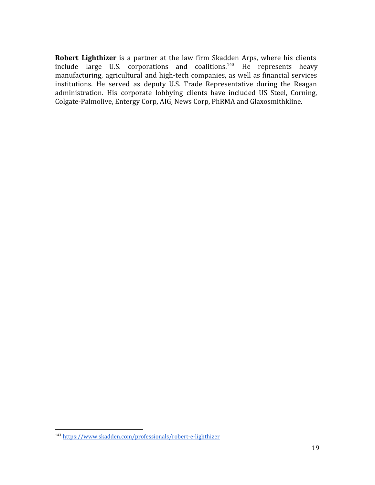**Robert Lighthizer** is a partner at the law firm Skadden Arps, where his clients include large U.S. corporations and coalitions. $143$  He represents heavy manufacturing, agricultural and high-tech companies, as well as financial services institutions. He served as deputy U.S. Trade Representative during the Reagan administration. His corporate lobbying clients have included US Steel, Corning, Colgate-Palmolive, Entergy Corp, AIG, News Corp, PhRMA and Glaxosmithkline.

<sup>143</sup> <https://www.skadden.com/professionals/robert-e-lighthizer>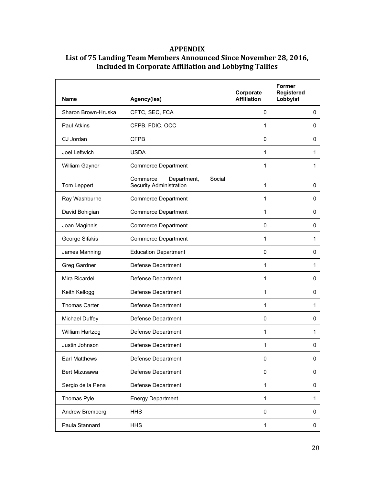#### **APPENDIX**

| <b>Name</b>          | Agency(ies)                                                  | Corporate<br><b>Affiliation</b> | <b>Former</b><br>Registered<br>Lobbyist |
|----------------------|--------------------------------------------------------------|---------------------------------|-----------------------------------------|
| Sharon Brown-Hruska  | CFTC, SEC, FCA                                               | 0                               | 0                                       |
| Paul Atkins          | CFPB, FDIC, OCC                                              | 1                               | 0                                       |
| CJ Jordan            | <b>CFPB</b>                                                  | $\mathbf 0$                     | 0                                       |
| Joel Leftwich        | <b>USDA</b>                                                  | 1                               | 1                                       |
| William Gaynor       | <b>Commerce Department</b>                                   | 1                               | 1                                       |
| Tom Leppert          | Department,<br>Social<br>Commerce<br>Security Administration | 1                               | 0                                       |
| Ray Washburne        | <b>Commerce Department</b>                                   | 1                               | 0                                       |
| David Bohigian       | <b>Commerce Department</b>                                   | 1                               | 0                                       |
| Joan Maginnis        | <b>Commerce Department</b>                                   | 0                               | 0                                       |
| George Sifakis       | <b>Commerce Department</b>                                   | 1                               | 1                                       |
| James Manning        | <b>Education Department</b>                                  | 0                               | 0                                       |
| Greg Gardner         | Defense Department                                           | 1                               | 1                                       |
| Mira Ricardel        | Defense Department                                           | 1                               | $\mathbf 0$                             |
| Keith Kellogg        | Defense Department                                           | 1                               | 0                                       |
| <b>Thomas Carter</b> | Defense Department                                           | 1                               | 1                                       |
| Michael Duffey       | Defense Department                                           | 0                               | 0                                       |
| William Hartzog      | Defense Department                                           | 1                               | 1                                       |
| Justin Johnson       | Defense Department                                           | 1                               | 0                                       |
| <b>Earl Matthews</b> | Defense Department                                           | 0                               | 0                                       |
| Bert Mizusawa        | Defense Department                                           | 0                               | 0                                       |
| Sergio de la Pena    | Defense Department                                           | 1                               | 0                                       |
| Thomas Pyle          | <b>Energy Department</b>                                     | 1                               | 1                                       |
| Andrew Bremberg      | <b>HHS</b>                                                   | 0                               | 0                                       |
| Paula Stannard       | <b>HHS</b>                                                   | 1                               | 0                                       |

# **List of 75 Landing Team Members Announced Since November 28, 2016, Included in Corporate Affiliation and Lobbying Tallies**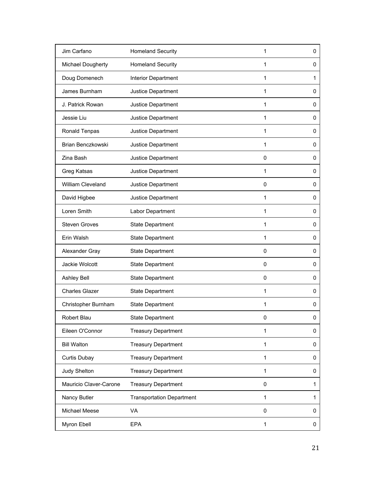| Jim Carfano            | <b>Homeland Security</b>         | 1            | 0 |
|------------------------|----------------------------------|--------------|---|
| Michael Dougherty      | <b>Homeland Security</b>         | 1            | 0 |
| Doug Domenech          | Interior Department              | 1            | 1 |
| James Burnham          | Justice Department               | 1            | 0 |
| J. Patrick Rowan       | Justice Department               | 1            | 0 |
| Jessie Liu             | Justice Department               | 1            | 0 |
| Ronald Tenpas          | Justice Department               | 1            | 0 |
| Brian Benczkowski      | Justice Department               | 1            | 0 |
| Zina Bash              | Justice Department               | 0            | 0 |
| Greg Katsas            | Justice Department               | 1            | 0 |
| William Cleveland      | Justice Department               | $\mathbf 0$  | 0 |
| David Higbee           | Justice Department               | 1            | 0 |
| Loren Smith            | Labor Department                 | 1            | 0 |
| <b>Steven Groves</b>   | State Department                 | 1            | 0 |
| Erin Walsh             | State Department                 | 1            | 0 |
| Alexander Gray         | <b>State Department</b>          | $\mathbf 0$  | 0 |
| Jackie Wolcott         | State Department                 | $\mathbf 0$  | 0 |
| Ashley Bell            | <b>State Department</b>          | $\mathbf 0$  | 0 |
| <b>Charles Glazer</b>  | State Department                 | 1            | 0 |
| Christopher Burnham    | <b>State Department</b>          | 1            | 0 |
| Robert Blau            | <b>State Department</b>          | 0            | 0 |
| Eileen O'Connor        | <b>Treasury Department</b>       | 1            | 0 |
| <b>Bill Walton</b>     | <b>Treasury Department</b>       | $\mathbf{1}$ | 0 |
| <b>Curtis Dubay</b>    | <b>Treasury Department</b>       | 1            | 0 |
| Judy Shelton           | <b>Treasury Department</b>       | $\mathbf{1}$ | 0 |
| Mauricio Claver-Carone | <b>Treasury Department</b>       | 0            | 1 |
| Nancy Butler           | <b>Transportation Department</b> | 1            | 1 |
| Michael Meese          | VA                               | 0            | 0 |
| Myron Ebell            | <b>EPA</b>                       | $\mathbf 1$  | 0 |